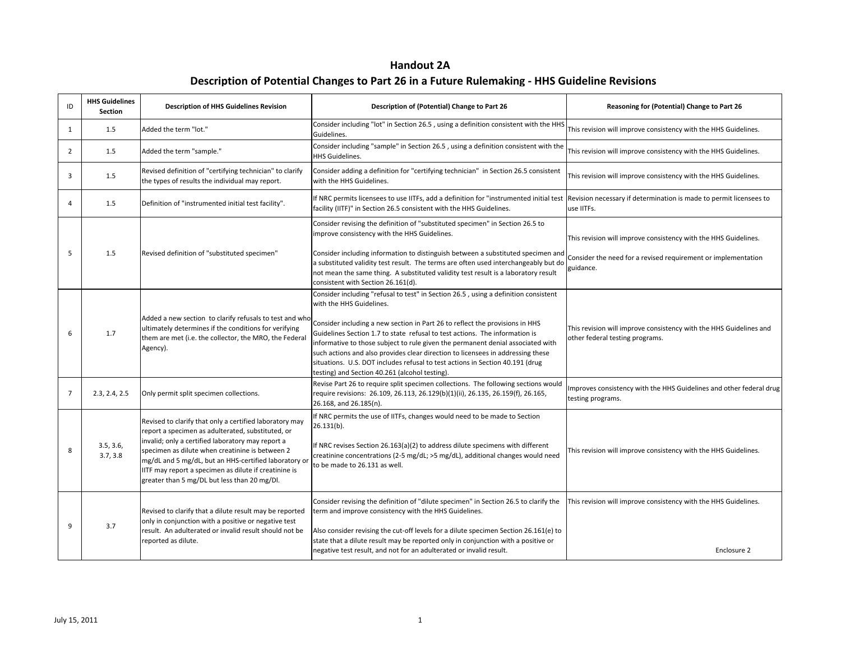**Handout 2A Description of Potential Changes to Part 26 in a Future Rulemaking - HHS Guideline Revisions**

| ID             | <b>HHS Guidelines</b><br><b>Section</b> | <b>Description of HHS Guidelines Revision</b>                                                                                                                                                                                                                                                                                                                                         | Description of (Potential) Change to Part 26                                                                                                                                                                                                                                                                                                                                                                                                                                                                                                                                           | Reasoning for (Potential) Change to Part 26                                                                                                   |
|----------------|-----------------------------------------|---------------------------------------------------------------------------------------------------------------------------------------------------------------------------------------------------------------------------------------------------------------------------------------------------------------------------------------------------------------------------------------|----------------------------------------------------------------------------------------------------------------------------------------------------------------------------------------------------------------------------------------------------------------------------------------------------------------------------------------------------------------------------------------------------------------------------------------------------------------------------------------------------------------------------------------------------------------------------------------|-----------------------------------------------------------------------------------------------------------------------------------------------|
| 1              | 1.5                                     | Added the term "lot."                                                                                                                                                                                                                                                                                                                                                                 | Consider including "lot" in Section 26.5, using a definition consistent with the HHS<br>Guidelines.                                                                                                                                                                                                                                                                                                                                                                                                                                                                                    | This revision will improve consistency with the HHS Guidelines.                                                                               |
| 2              | 1.5                                     | Added the term "sample."                                                                                                                                                                                                                                                                                                                                                              | Consider including "sample" in Section 26.5, using a definition consistent with the<br><b>HHS Guidelines.</b>                                                                                                                                                                                                                                                                                                                                                                                                                                                                          | This revision will improve consistency with the HHS Guidelines.                                                                               |
| 3              | 1.5                                     | Revised definition of "certifying technician" to clarify<br>the types of results the individual may report.                                                                                                                                                                                                                                                                           | Consider adding a definition for "certifying technician" in Section 26.5 consistent<br>with the HHS Guidelines.                                                                                                                                                                                                                                                                                                                                                                                                                                                                        | This revision will improve consistency with the HHS Guidelines.                                                                               |
| $\Delta$       | 1.5                                     | Definition of "instrumented initial test facility".                                                                                                                                                                                                                                                                                                                                   | f NRC permits licensees to use IITFs, add a definition for "instrumented initial test<br>facility (IITF)" in Section 26.5 consistent with the HHS Guidelines.                                                                                                                                                                                                                                                                                                                                                                                                                          | Revision necessary if determination is made to permit licensees to<br>use IITFs.                                                              |
| .5             | 1.5                                     | Revised definition of "substituted specimen"                                                                                                                                                                                                                                                                                                                                          | Consider revising the definition of "substituted specimen" in Section 26.5 to<br>improve consistency with the HHS Guidelines.<br>Consider including information to distinguish between a substituted specimen and<br>a substituted validity test result. The terms are often used interchangeably but do<br>not mean the same thing. A substituted validity test result is a laboratory result<br>consistent with Section 26.161(d).                                                                                                                                                   | This revision will improve consistency with the HHS Guidelines.<br>Consider the need for a revised requirement or implementation<br>guidance. |
| 6              | 1.7                                     | Added a new section to clarify refusals to test and who<br>ultimately determines if the conditions for verifying<br>them are met (i.e. the collector, the MRO, the Federal<br>Agency).                                                                                                                                                                                                | Consider including "refusal to test" in Section 26.5, using a definition consistent<br>with the HHS Guidelines.<br>Consider including a new section in Part 26 to reflect the provisions in HHS<br>Guidelines Section 1.7 to state refusal to test actions. The information is<br>nformative to those subject to rule given the permanent denial associated with<br>such actions and also provides clear direction to licensees in addressing these<br>situations. U.S. DOT includes refusal to test actions in Section 40.191 (drug<br>testing) and Section 40.261 (alcohol testing). | This revision will improve consistency with the HHS Guidelines and<br>other federal testing programs.                                         |
| $\overline{7}$ | 2.3, 2.4, 2.5                           | Only permit split specimen collections.                                                                                                                                                                                                                                                                                                                                               | Revise Part 26 to require split specimen collections. The following sections would<br>require revisions: 26.109, 26.113, 26.129(b)(1)(ii), 26.135, 26.159(f), 26.165,<br>26.168, and 26.185(n).                                                                                                                                                                                                                                                                                                                                                                                        | Improves consistency with the HHS Guidelines and other federal drug<br>testing programs.                                                      |
| 8              | 3.5, 3.6,<br>3.7, 3.8                   | Revised to clarify that only a certified laboratory may<br>report a specimen as adulterated, substituted, or<br>invalid; only a certified laboratory may report a<br>specimen as dilute when creatinine is between 2<br>mg/dL and 5 mg/dL, but an HHS-certified laboratory or<br>ITF may report a specimen as dilute if creatinine is<br>greater than 5 mg/DL but less than 20 mg/Dl. | If NRC permits the use of IITFs, changes would need to be made to Section<br>$26.131(b)$ .<br>f NRC revises Section 26.163(a)(2) to address dilute specimens with different<br>creatinine concentrations (2-5 mg/dL; >5 mg/dL), additional changes would need<br>to be made to 26.131 as well.                                                                                                                                                                                                                                                                                         | This revision will improve consistency with the HHS Guidelines.                                                                               |
| q              | 3.7                                     | Revised to clarify that a dilute result may be reported<br>only in conjunction with a positive or negative test<br>result. An adulterated or invalid result should not be<br>reported as dilute.                                                                                                                                                                                      | Consider revising the definition of "dilute specimen" in Section 26.5 to clarify the<br>term and improve consistency with the HHS Guidelines.<br>Also consider revising the cut-off levels for a dilute specimen Section 26.161(e) to<br>state that a dilute result may be reported only in conjunction with a positive or<br>negative test result, and not for an adulterated or invalid result.                                                                                                                                                                                      | This revision will improve consistency with the HHS Guidelines.<br>Enclosure 2                                                                |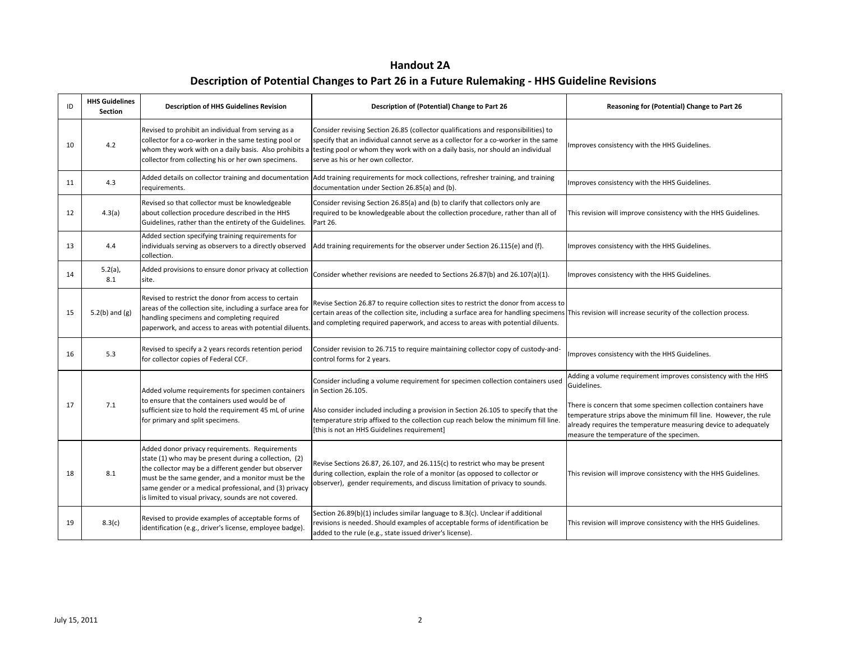| <b>Handout 2A</b>                                                                            |
|----------------------------------------------------------------------------------------------|
| Description of Potential Changes to Part 26 in a Future Rulemaking - HHS Guideline Revisions |

| ID | <b>HHS Guidelines</b><br>Section | <b>Description of HHS Guidelines Revision</b>                                                                                                                                                                                                                                                                                            | Description of (Potential) Change to Part 26                                                                                                                                                                                                                                                                                      | Reasoning for (Potential) Change to Part 26                                                                                                                                                                                                                                                                                        |
|----|----------------------------------|------------------------------------------------------------------------------------------------------------------------------------------------------------------------------------------------------------------------------------------------------------------------------------------------------------------------------------------|-----------------------------------------------------------------------------------------------------------------------------------------------------------------------------------------------------------------------------------------------------------------------------------------------------------------------------------|------------------------------------------------------------------------------------------------------------------------------------------------------------------------------------------------------------------------------------------------------------------------------------------------------------------------------------|
| 10 | 4.2                              | Revised to prohibit an individual from serving as a<br>collector for a co-worker in the same testing pool or<br>whom they work with on a daily basis. Also prohibits a<br>collector from collecting his or her own specimens.                                                                                                            | Consider revising Section 26.85 (collector qualifications and responsibilities) to<br>specify that an individual cannot serve as a collector for a co-worker in the same<br>testing pool or whom they work with on a daily basis, nor should an individual<br>serve as his or her own collector.                                  | Improves consistency with the HHS Guidelines.                                                                                                                                                                                                                                                                                      |
| 11 | 4.3                              | Added details on collector training and documentation<br>requirements.                                                                                                                                                                                                                                                                   | Add training requirements for mock collections, refresher training, and training<br>documentation under Section 26.85(a) and (b).                                                                                                                                                                                                 | Improves consistency with the HHS Guidelines.                                                                                                                                                                                                                                                                                      |
| 12 | 4.3(a)                           | Revised so that collector must be knowledgeable<br>about collection procedure described in the HHS<br>Guidelines, rather than the entirety of the Guidelines.                                                                                                                                                                            | Consider revising Section 26.85(a) and (b) to clarify that collectors only are<br>required to be knowledgeable about the collection procedure, rather than all of<br>Part 26.                                                                                                                                                     | This revision will improve consistency with the HHS Guidelines.                                                                                                                                                                                                                                                                    |
| 13 | 4.4                              | Added section specifying training requirements for<br>individuals serving as observers to a directly observed<br>collection.                                                                                                                                                                                                             | Add training requirements for the observer under Section 26.115(e) and (f).                                                                                                                                                                                                                                                       | Improves consistency with the HHS Guidelines.                                                                                                                                                                                                                                                                                      |
| 14 | $5.2(a)$ ,<br>8.1                | Added provisions to ensure donor privacy at collection<br>site.                                                                                                                                                                                                                                                                          | Consider whether revisions are needed to Sections 26.87(b) and 26.107(a)(1).                                                                                                                                                                                                                                                      | Improves consistency with the HHS Guidelines.                                                                                                                                                                                                                                                                                      |
| 15 | $5.2(b)$ and $(g)$               | Revised to restrict the donor from access to certain<br>areas of the collection site, including a surface area for<br>handling specimens and completing required<br>paperwork, and access to areas with potential diluents.                                                                                                              | Revise Section 26.87 to require collection sites to restrict the donor from access to<br>certain areas of the collection site, including a surface area for handling specimens This revision will increase security of the collection process.<br>and completing required paperwork, and access to areas with potential diluents. |                                                                                                                                                                                                                                                                                                                                    |
| 16 | 5.3                              | Revised to specify a 2 years records retention period<br>for collector copies of Federal CCF.                                                                                                                                                                                                                                            | Consider revision to 26.715 to require maintaining collector copy of custody-and-<br>control forms for 2 years.                                                                                                                                                                                                                   | Improves consistency with the HHS Guidelines.                                                                                                                                                                                                                                                                                      |
| 17 | 7.1                              | Added volume requirements for specimen containers<br>to ensure that the containers used would be of<br>sufficient size to hold the requirement 45 mL of urine<br>for primary and split specimens.                                                                                                                                        | Consider including a volume requirement for specimen collection containers used<br>in Section 26.105.<br>Also consider included including a provision in Section 26.105 to specify that the<br>temperature strip affixed to the collection cup reach below the minimum fill line.<br>[this is not an HHS Guidelines requirement]  | Adding a volume requirement improves consistency with the HHS<br>Guidelines.<br>There is concern that some specimen collection containers have<br>temperature strips above the minimum fill line. However, the rule<br>already requires the temperature measuring device to adequately<br>measure the temperature of the specimen. |
| 18 | 8.1                              | Added donor privacy requirements. Requirements<br>state (1) who may be present during a collection, (2)<br>the collector may be a different gender but observer<br>must be the same gender, and a monitor must be the<br>same gender or a medical professional, and (3) privacy<br>is limited to visual privacy, sounds are not covered. | Revise Sections 26.87, 26.107, and 26.115(c) to restrict who may be present<br>during collection, explain the role of a monitor (as opposed to collector or<br>observer), gender requirements, and discuss limitation of privacy to sounds.                                                                                       | This revision will improve consistency with the HHS Guidelines.                                                                                                                                                                                                                                                                    |
| 19 | 8.3(c)                           | Revised to provide examples of acceptable forms of<br>identification (e.g., driver's license, employee badge).                                                                                                                                                                                                                           | Section $26.89(b)(1)$ includes similar language to $8.3(c)$ . Unclear if additional<br>revisions is needed. Should examples of acceptable forms of identification be<br>added to the rule (e.g., state issued driver's license).                                                                                                  | This revision will improve consistency with the HHS Guidelines.                                                                                                                                                                                                                                                                    |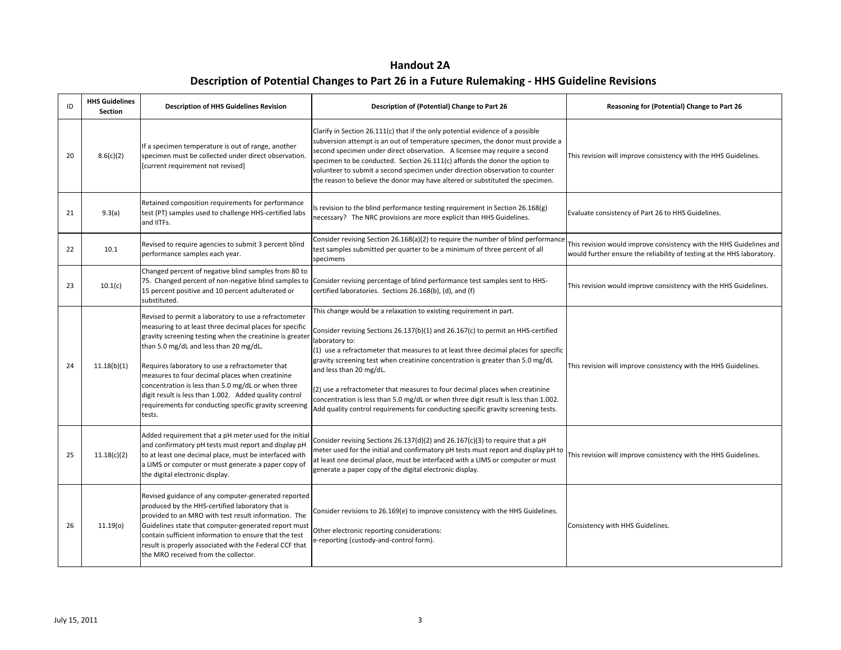| ID | <b>HHS Guidelines</b><br><b>Section</b> | <b>Description of HHS Guidelines Revision</b>                                                                                                                                                                                                                                                                                                                                                                                                                                                                    | Description of (Potential) Change to Part 26                                                                                                                                                                                                                                                                                                                                                                                                                                                                                                                                                                                            | Reasoning for (Potential) Change to Part 26                                                                                                   |
|----|-----------------------------------------|------------------------------------------------------------------------------------------------------------------------------------------------------------------------------------------------------------------------------------------------------------------------------------------------------------------------------------------------------------------------------------------------------------------------------------------------------------------------------------------------------------------|-----------------------------------------------------------------------------------------------------------------------------------------------------------------------------------------------------------------------------------------------------------------------------------------------------------------------------------------------------------------------------------------------------------------------------------------------------------------------------------------------------------------------------------------------------------------------------------------------------------------------------------------|-----------------------------------------------------------------------------------------------------------------------------------------------|
| 20 | 8.6(c)(2)                               | If a specimen temperature is out of range, another<br>specimen must be collected under direct observation.<br>[current requirement not revised]                                                                                                                                                                                                                                                                                                                                                                  | Clarify in Section 26.111(c) that if the only potential evidence of a possible<br>subversion attempt is an out of temperature specimen, the donor must provide a<br>second specimen under direct observation. A licensee may require a second<br>specimen to be conducted. Section 26.111(c) affords the donor the option to<br>volunteer to submit a second specimen under direction observation to counter<br>the reason to believe the donor may have altered or substituted the specimen.                                                                                                                                           | This revision will improve consistency with the HHS Guidelines.                                                                               |
| 21 | 9.3(a)                                  | Retained composition requirements for performance<br>test (PT) samples used to challenge HHS-certified labs<br>and IITFs.                                                                                                                                                                                                                                                                                                                                                                                        | s revision to the blind performance testing requirement in Section 26.168(g)<br>necessary? The NRC provisions are more explicit than HHS Guidelines.                                                                                                                                                                                                                                                                                                                                                                                                                                                                                    | Evaluate consistency of Part 26 to HHS Guidelines.                                                                                            |
| 22 | 10.1                                    | Revised to require agencies to submit 3 percent blind<br>performance samples each year.                                                                                                                                                                                                                                                                                                                                                                                                                          | Consider revising Section 26.168(a)(2) to require the number of blind performance<br>test samples submitted per quarter to be a minimum of three percent of all<br>specimens                                                                                                                                                                                                                                                                                                                                                                                                                                                            | This revision would improve consistency with the HHS Guidelines and<br>would further ensure the reliability of testing at the HHS laboratory. |
| 23 | 10.1(c)                                 | Changed percent of negative blind samples from 80 to<br>75. Changed percent of non-negative blind samples to<br>15 percent positive and 10 percent adulterated or<br>substituted.                                                                                                                                                                                                                                                                                                                                | Consider revising percentage of blind performance test samples sent to HHS-<br>certified laboratories. Sections 26.168(b), (d), and (f)                                                                                                                                                                                                                                                                                                                                                                                                                                                                                                 | This revision would improve consistency with the HHS Guidelines.                                                                              |
| 24 | 11.18(b)(1)                             | Revised to permit a laboratory to use a refractometer<br>measuring to at least three decimal places for specific<br>gravity screening testing when the creatinine is greater<br>than 5.0 mg/dL and less than 20 mg/dL.<br>Requires laboratory to use a refractometer that<br>measures to four decimal places when creatinine<br>concentration is less than 5.0 mg/dL or when three<br>digit result is less than 1.002. Added quality control<br>requirements for conducting specific gravity screening<br>tests. | This change would be a relaxation to existing requirement in part.<br>Consider revising Sections 26.137(b)(1) and 26.167(c) to permit an HHS-certified<br>aboratory to:<br>(1) use a refractometer that measures to at least three decimal places for specific<br>gravity screening test when creatinine concentration is greater than 5.0 mg/dL<br>and less than 20 mg/dL.<br>(2) use a refractometer that measures to four decimal places when creatinine<br>concentration is less than 5.0 mg/dL or when three digit result is less than 1.002.<br>Add quality control requirements for conducting specific gravity screening tests. | This revision will improve consistency with the HHS Guidelines.                                                                               |
| 25 | 11.18(c)(2)                             | Added requirement that a pH meter used for the initial<br>and confirmatory pH tests must report and display pH<br>to at least one decimal place, must be interfaced with<br>a LIMS or computer or must generate a paper copy of<br>the digital electronic display.                                                                                                                                                                                                                                               | Consider revising Sections 26.137(d)(2) and 26.167(c)(3) to require that a pH<br>meter used for the initial and confirmatory pH tests must report and display pH to<br>at least one decimal place, must be interfaced with a LIMS or computer or must<br>generate a paper copy of the digital electronic display.                                                                                                                                                                                                                                                                                                                       | This revision will improve consistency with the HHS Guidelines.                                                                               |
| 26 | 11.19(0)                                | Revised guidance of any computer-generated reported<br>produced by the HHS-certified laboratory that is<br>provided to an MRO with test result information. The<br>Guidelines state that computer-generated report must<br>contain sufficient information to ensure that the test<br>result is properly associated with the Federal CCF that<br>the MRO received from the collector.                                                                                                                             | Consider revisions to 26.169(e) to improve consistency with the HHS Guidelines.<br>Other electronic reporting considerations:<br>e-reporting (custody-and-control form).                                                                                                                                                                                                                                                                                                                                                                                                                                                                | Consistency with HHS Guidelines.                                                                                                              |

**Handout 2A Description of Potential Changes to Part 26 in a Future Rulemaking - HHS Guideline Revisions**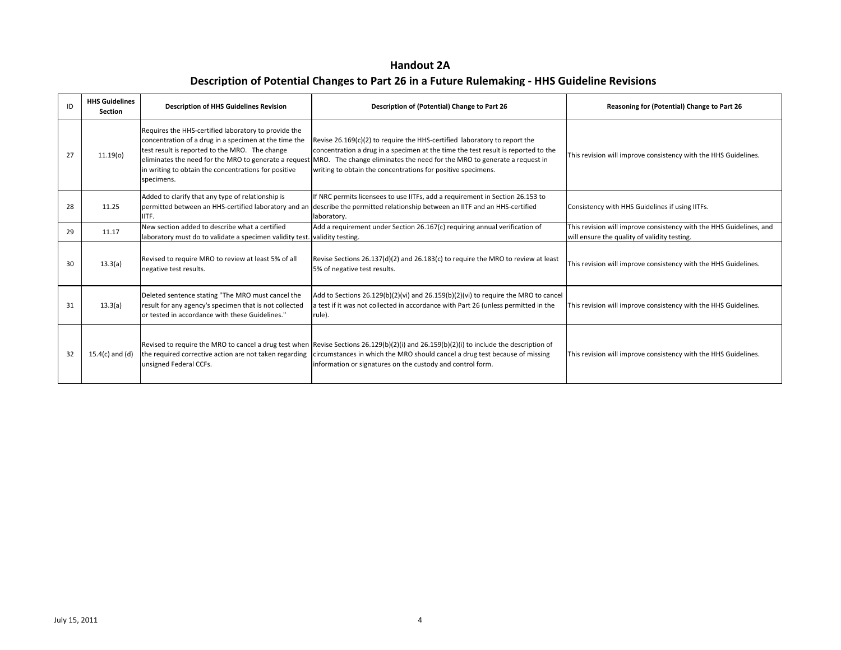| <b>Handout 2A</b>                                                                            |
|----------------------------------------------------------------------------------------------|
| Description of Potential Changes to Part 26 in a Future Rulemaking - HHS Guideline Revisions |

| ID | <b>HHS Guidelines</b><br><b>Section</b>                                                                                                                                   | <b>Description of HHS Guidelines Revision</b>                                                                                                                                                                                                                                                  | Description of (Potential) Change to Part 26                                                                                                                                                                                                                                                               | Reasoning for (Potential) Change to Part 26                                                                         |
|----|---------------------------------------------------------------------------------------------------------------------------------------------------------------------------|------------------------------------------------------------------------------------------------------------------------------------------------------------------------------------------------------------------------------------------------------------------------------------------------|------------------------------------------------------------------------------------------------------------------------------------------------------------------------------------------------------------------------------------------------------------------------------------------------------------|---------------------------------------------------------------------------------------------------------------------|
| 27 | 11.19(0)                                                                                                                                                                  | Requires the HHS-certified laboratory to provide the<br>concentration of a drug in a specimen at the time the<br>test result is reported to the MRO. The change<br>eliminates the need for the MRO to generate a request<br>in writing to obtain the concentrations for positive<br>specimens. | Revise 26.169(c)(2) to require the HHS-certified laboratory to report the<br>concentration a drug in a specimen at the time the test result is reported to the<br>MRO. The change eliminates the need for the MRO to generate a request in<br>writing to obtain the concentrations for positive specimens. | This revision will improve consistency with the HHS Guidelines.                                                     |
| 28 | 11.25                                                                                                                                                                     | Added to clarify that any type of relationship is<br>permitted between an HHS-certified laboratory and an<br>IITF.                                                                                                                                                                             | If NRC permits licensees to use IITFs, add a requirement in Section 26.153 to<br>describe the permitted relationship between an IITF and an HHS-certified<br>laboratory.                                                                                                                                   | Consistency with HHS Guidelines if using IITFs.                                                                     |
| 29 | 11.17                                                                                                                                                                     | New section added to describe what a certified<br>laboratory must do to validate a specimen validity test. validity testing.                                                                                                                                                                   | Add a requirement under Section 26.167(c) requiring annual verification of                                                                                                                                                                                                                                 | This revision will improve consistency with the HHS Guidelines, and<br>will ensure the quality of validity testing. |
| 30 | 13.3(a)                                                                                                                                                                   | Revised to require MRO to review at least 5% of all<br>negative test results.                                                                                                                                                                                                                  | Revise Sections 26.137(d)(2) and 26.183(c) to require the MRO to review at least<br>5% of negative test results.                                                                                                                                                                                           | This revision will improve consistency with the HHS Guidelines.                                                     |
| 31 | Deleted sentence stating "The MRO must cancel the<br>result for any agency's specimen that is not collected<br>13.3(a)<br>or tested in accordance with these Guidelines." |                                                                                                                                                                                                                                                                                                | Add to Sections 26.129(b)(2)(vi) and 26.159(b)(2)(vi) to require the MRO to cancel<br>a test if it was not collected in accordance with Part 26 (unless permitted in the<br>rule).                                                                                                                         | This revision will improve consistency with the HHS Guidelines.                                                     |
| 32 | $15.4(c)$ and (d)                                                                                                                                                         | the required corrective action are not taken regarding<br>unsigned Federal CCFs.                                                                                                                                                                                                               | Revised to require the MRO to cancel a drug test when Revise Sections 26.129(b)(2)(i) and 26.159(b)(2)(i) to include the description of<br>circumstances in which the MRO should cancel a drug test because of missing<br>information or signatures on the custody and control form.                       | This revision will improve consistency with the HHS Guidelines.                                                     |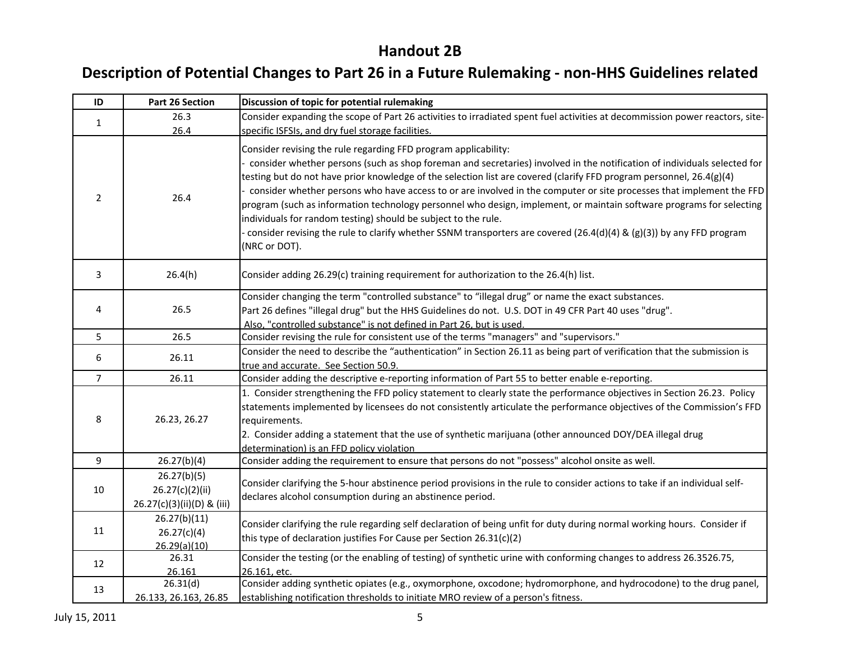| ID             | Part 26 Section                                              | Discussion of topic for potential rulemaking                                                                                                                                                                                                                                                                                                                                                                                                                                                                                                                                                                                                                                                                                                                                   |
|----------------|--------------------------------------------------------------|--------------------------------------------------------------------------------------------------------------------------------------------------------------------------------------------------------------------------------------------------------------------------------------------------------------------------------------------------------------------------------------------------------------------------------------------------------------------------------------------------------------------------------------------------------------------------------------------------------------------------------------------------------------------------------------------------------------------------------------------------------------------------------|
| 1              | 26.3                                                         | Consider expanding the scope of Part 26 activities to irradiated spent fuel activities at decommission power reactors, site-                                                                                                                                                                                                                                                                                                                                                                                                                                                                                                                                                                                                                                                   |
|                | 26.4                                                         | specific ISFSIs, and dry fuel storage facilities.                                                                                                                                                                                                                                                                                                                                                                                                                                                                                                                                                                                                                                                                                                                              |
| $\overline{2}$ | 26.4                                                         | Consider revising the rule regarding FFD program applicability:<br>consider whether persons (such as shop foreman and secretaries) involved in the notification of individuals selected for<br>testing but do not have prior knowledge of the selection list are covered (clarify FFD program personnel, 26.4(g)(4)<br>consider whether persons who have access to or are involved in the computer or site processes that implement the FFD<br>program (such as information technology personnel who design, implement, or maintain software programs for selecting<br>individuals for random testing) should be subject to the rule.<br>consider revising the rule to clarify whether SSNM transporters are covered (26.4(d)(4) & (g)(3)) by any FFD program<br>(NRC or DOT). |
| 3              | 26.4(h)                                                      | Consider adding 26.29(c) training requirement for authorization to the 26.4(h) list.                                                                                                                                                                                                                                                                                                                                                                                                                                                                                                                                                                                                                                                                                           |
| 4              | 26.5                                                         | Consider changing the term "controlled substance" to "illegal drug" or name the exact substances.<br>Part 26 defines "illegal drug" but the HHS Guidelines do not. U.S. DOT in 49 CFR Part 40 uses "drug".<br>Also, "controlled substance" is not defined in Part 26, but is used.                                                                                                                                                                                                                                                                                                                                                                                                                                                                                             |
| 5              | 26.5                                                         | Consider revising the rule for consistent use of the terms "managers" and "supervisors."                                                                                                                                                                                                                                                                                                                                                                                                                                                                                                                                                                                                                                                                                       |
| 6              | 26.11                                                        | Consider the need to describe the "authentication" in Section 26.11 as being part of verification that the submission is<br>true and accurate. See Section 50.9.                                                                                                                                                                                                                                                                                                                                                                                                                                                                                                                                                                                                               |
| $\overline{7}$ | 26.11                                                        | Consider adding the descriptive e-reporting information of Part 55 to better enable e-reporting.                                                                                                                                                                                                                                                                                                                                                                                                                                                                                                                                                                                                                                                                               |
| 8              | 26.23, 26.27                                                 | 1. Consider strengthening the FFD policy statement to clearly state the performance objectives in Section 26.23. Policy<br>statements implemented by licensees do not consistently articulate the performance objectives of the Commission's FFD<br>requirements.<br>2. Consider adding a statement that the use of synthetic marijuana (other announced DOY/DEA illegal drug<br>determination) is an FFD policy violation                                                                                                                                                                                                                                                                                                                                                     |
| 9              | 26.27(b)(4)                                                  | Consider adding the requirement to ensure that persons do not "possess" alcohol onsite as well.                                                                                                                                                                                                                                                                                                                                                                                                                                                                                                                                                                                                                                                                                |
| 10             | 26.27(b)(5)<br>26.27(c)(2)(ii)<br>26.27(c)(3)(ii)(D) & (iii) | Consider clarifying the 5-hour abstinence period provisions in the rule to consider actions to take if an individual self-<br>declares alcohol consumption during an abstinence period.                                                                                                                                                                                                                                                                                                                                                                                                                                                                                                                                                                                        |
| 11             | 26.27(b)(11)<br>26.27(c)(4)<br>26.29(a)(10)                  | Consider clarifying the rule regarding self declaration of being unfit for duty during normal working hours. Consider if<br>this type of declaration justifies For Cause per Section 26.31(c)(2)                                                                                                                                                                                                                                                                                                                                                                                                                                                                                                                                                                               |
| 12             | 26.31                                                        | Consider the testing (or the enabling of testing) of synthetic urine with conforming changes to address 26.3526.75,                                                                                                                                                                                                                                                                                                                                                                                                                                                                                                                                                                                                                                                            |
| 13             | 26.161<br>26.31(d)<br>26.133, 26.163, 26.85                  | 26.161, etc.<br>Consider adding synthetic opiates (e.g., oxymorphone, oxcodone; hydromorphone, and hydrocodone) to the drug panel,<br>establishing notification thresholds to initiate MRO review of a person's fitness.                                                                                                                                                                                                                                                                                                                                                                                                                                                                                                                                                       |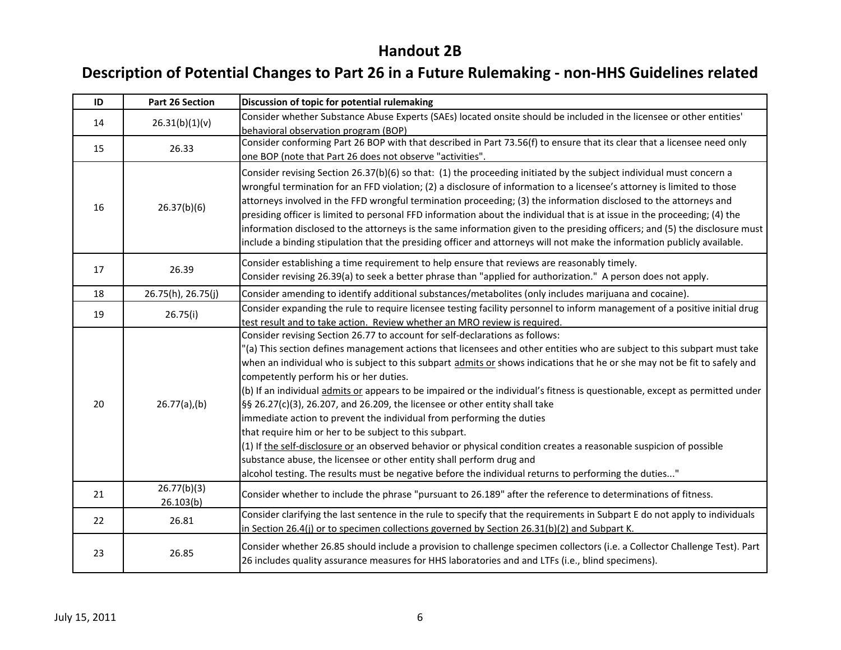| ID | Part 26 Section          | Discussion of topic for potential rulemaking                                                                                                                                                                                                                                                                                                                                                                                                                                                                                                                                                                                                                                                                                                                                                                                                                                                                                                                                                                                              |
|----|--------------------------|-------------------------------------------------------------------------------------------------------------------------------------------------------------------------------------------------------------------------------------------------------------------------------------------------------------------------------------------------------------------------------------------------------------------------------------------------------------------------------------------------------------------------------------------------------------------------------------------------------------------------------------------------------------------------------------------------------------------------------------------------------------------------------------------------------------------------------------------------------------------------------------------------------------------------------------------------------------------------------------------------------------------------------------------|
| 14 | 26.31(b)(1)(v)           | Consider whether Substance Abuse Experts (SAEs) located onsite should be included in the licensee or other entities'<br>behavioral observation program (BOP)                                                                                                                                                                                                                                                                                                                                                                                                                                                                                                                                                                                                                                                                                                                                                                                                                                                                              |
| 15 | 26.33                    | Consider conforming Part 26 BOP with that described in Part 73.56(f) to ensure that its clear that a licensee need only<br>one BOP (note that Part 26 does not observe "activities".                                                                                                                                                                                                                                                                                                                                                                                                                                                                                                                                                                                                                                                                                                                                                                                                                                                      |
| 16 | 26.37(b)(6)              | Consider revising Section 26.37(b)(6) so that: (1) the proceeding initiated by the subject individual must concern a<br>wrongful termination for an FFD violation; (2) a disclosure of information to a licensee's attorney is limited to those<br>attorneys involved in the FFD wrongful termination proceeding; (3) the information disclosed to the attorneys and<br>presiding officer is limited to personal FFD information about the individual that is at issue in the proceeding; (4) the<br>information disclosed to the attorneys is the same information given to the presiding officers; and (5) the disclosure must<br>include a binding stipulation that the presiding officer and attorneys will not make the information publicly available.                                                                                                                                                                                                                                                                              |
| 17 | 26.39                    | Consider establishing a time requirement to help ensure that reviews are reasonably timely.<br>Consider revising 26.39(a) to seek a better phrase than "applied for authorization." A person does not apply.                                                                                                                                                                                                                                                                                                                                                                                                                                                                                                                                                                                                                                                                                                                                                                                                                              |
| 18 | 26.75(h), 26.75(j)       | Consider amending to identify additional substances/metabolites (only includes marijuana and cocaine).                                                                                                                                                                                                                                                                                                                                                                                                                                                                                                                                                                                                                                                                                                                                                                                                                                                                                                                                    |
| 19 | 26.75(i)                 | Consider expanding the rule to require licensee testing facility personnel to inform management of a positive initial drug<br>test result and to take action. Review whether an MRO review is required.                                                                                                                                                                                                                                                                                                                                                                                                                                                                                                                                                                                                                                                                                                                                                                                                                                   |
| 20 | $26.77(a)$ ,(b)          | Consider revising Section 26.77 to account for self-declarations as follows:<br>"(a) This section defines management actions that licensees and other entities who are subject to this subpart must take<br>when an individual who is subject to this subpart admits or shows indications that he or she may not be fit to safely and<br>competently perform his or her duties.<br>(b) If an individual admits or appears to be impaired or the individual's fitness is questionable, except as permitted under<br>§§ 26.27(c)(3), 26.207, and 26.209, the licensee or other entity shall take<br>immediate action to prevent the individual from performing the duties<br>that require him or her to be subject to this subpart.<br>(1) If the self-disclosure or an observed behavior or physical condition creates a reasonable suspicion of possible<br>substance abuse, the licensee or other entity shall perform drug and<br>alcohol testing. The results must be negative before the individual returns to performing the duties" |
| 21 | 26.77(b)(3)<br>26.103(b) | Consider whether to include the phrase "pursuant to 26.189" after the reference to determinations of fitness.                                                                                                                                                                                                                                                                                                                                                                                                                                                                                                                                                                                                                                                                                                                                                                                                                                                                                                                             |
| 22 | 26.81                    | Consider clarifying the last sentence in the rule to specify that the requirements in Subpart E do not apply to individuals<br>in Section 26.4(j) or to specimen collections governed by Section 26.31(b)(2) and Subpart K.                                                                                                                                                                                                                                                                                                                                                                                                                                                                                                                                                                                                                                                                                                                                                                                                               |
| 23 | 26.85                    | Consider whether 26.85 should include a provision to challenge specimen collectors (i.e. a Collector Challenge Test). Part<br>26 includes quality assurance measures for HHS laboratories and and LTFs (i.e., blind specimens).                                                                                                                                                                                                                                                                                                                                                                                                                                                                                                                                                                                                                                                                                                                                                                                                           |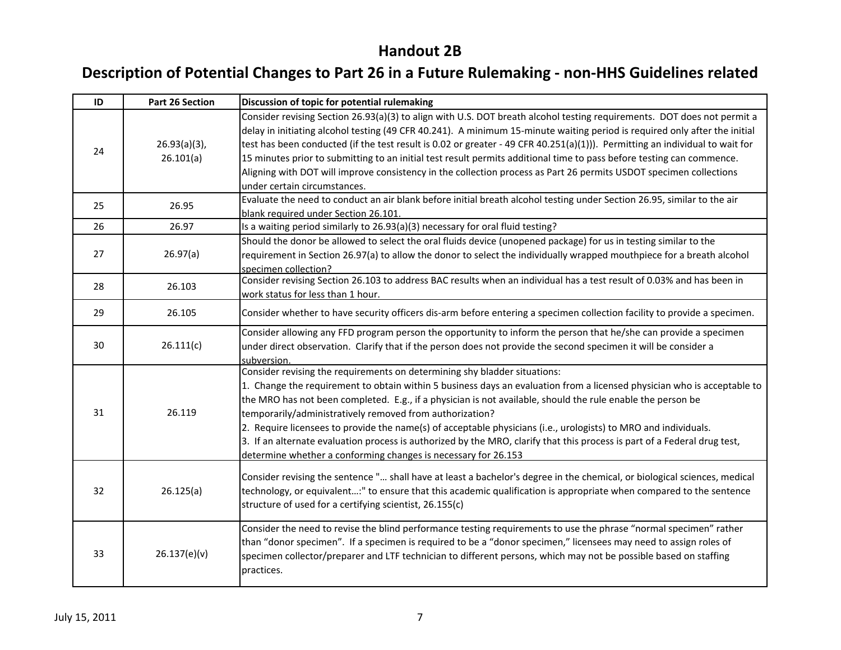| ID | <b>Part 26 Section</b>       | Discussion of topic for potential rulemaking                                                                                                                                                                                                                                                                                                                                                                                                                                                                                                                                                                                                                                                      |
|----|------------------------------|---------------------------------------------------------------------------------------------------------------------------------------------------------------------------------------------------------------------------------------------------------------------------------------------------------------------------------------------------------------------------------------------------------------------------------------------------------------------------------------------------------------------------------------------------------------------------------------------------------------------------------------------------------------------------------------------------|
| 24 | $26.93(a)(3)$ ,<br>26.101(a) | Consider revising Section 26.93(a)(3) to align with U.S. DOT breath alcohol testing requirements. DOT does not permit a<br>delay in initiating alcohol testing (49 CFR 40.241). A minimum 15-minute waiting period is required only after the initial<br>test has been conducted (if the test result is 0.02 or greater - 49 CFR 40.251(a)(1))). Permitting an individual to wait for<br>15 minutes prior to submitting to an initial test result permits additional time to pass before testing can commence.<br>Aligning with DOT will improve consistency in the collection process as Part 26 permits USDOT specimen collections<br>under certain circumstances.                              |
| 25 | 26.95                        | Evaluate the need to conduct an air blank before initial breath alcohol testing under Section 26.95, similar to the air<br>blank required under Section 26.101.                                                                                                                                                                                                                                                                                                                                                                                                                                                                                                                                   |
| 26 | 26.97                        | Is a waiting period similarly to 26.93(a)(3) necessary for oral fluid testing?                                                                                                                                                                                                                                                                                                                                                                                                                                                                                                                                                                                                                    |
| 27 | 26.97(a)                     | Should the donor be allowed to select the oral fluids device (unopened package) for us in testing similar to the<br>requirement in Section 26.97(a) to allow the donor to select the individually wrapped mouthpiece for a breath alcohol<br>specimen collection?                                                                                                                                                                                                                                                                                                                                                                                                                                 |
| 28 | 26.103                       | Consider revising Section 26.103 to address BAC results when an individual has a test result of 0.03% and has been in<br>work status for less than 1 hour.                                                                                                                                                                                                                                                                                                                                                                                                                                                                                                                                        |
| 29 | 26.105                       | Consider whether to have security officers dis-arm before entering a specimen collection facility to provide a specimen.                                                                                                                                                                                                                                                                                                                                                                                                                                                                                                                                                                          |
| 30 | 26.111(c)                    | Consider allowing any FFD program person the opportunity to inform the person that he/she can provide a specimen<br>under direct observation. Clarify that if the person does not provide the second specimen it will be consider a<br>subversion.                                                                                                                                                                                                                                                                                                                                                                                                                                                |
| 31 | 26.119                       | Consider revising the requirements on determining shy bladder situations:<br>1. Change the requirement to obtain within 5 business days an evaluation from a licensed physician who is acceptable to<br>the MRO has not been completed. E.g., if a physician is not available, should the rule enable the person be<br>temporarily/administratively removed from authorization?<br>2. Require licensees to provide the name(s) of acceptable physicians (i.e., urologists) to MRO and individuals.<br>3. If an alternate evaluation process is authorized by the MRO, clarify that this process is part of a Federal drug test,<br>determine whether a conforming changes is necessary for 26.153 |
| 32 | 26.125(a)                    | Consider revising the sentence " shall have at least a bachelor's degree in the chemical, or biological sciences, medical<br>technology, or equivalent:" to ensure that this academic qualification is appropriate when compared to the sentence<br>structure of used for a certifying scientist, 26.155(c)                                                                                                                                                                                                                                                                                                                                                                                       |
| 33 | 26.137(e)(v)                 | Consider the need to revise the blind performance testing requirements to use the phrase "normal specimen" rather<br>than "donor specimen". If a specimen is required to be a "donor specimen," licensees may need to assign roles of<br>specimen collector/preparer and LTF technician to different persons, which may not be possible based on staffing<br>practices.                                                                                                                                                                                                                                                                                                                           |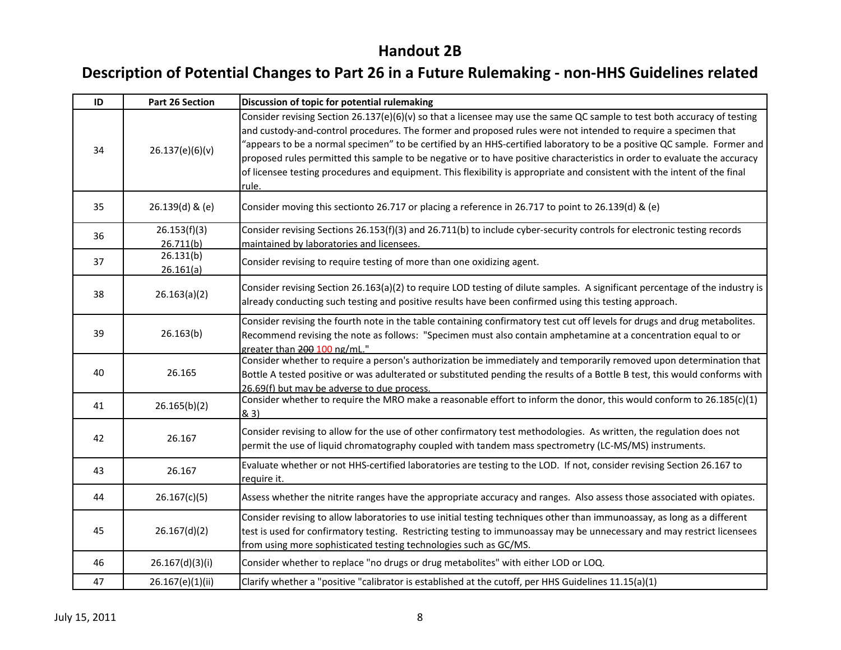| ID | <b>Part 26 Section</b>    | Discussion of topic for potential rulemaking                                                                                                                                                                                                                                                                                                                                                                                                                                                                                                                                                                                             |
|----|---------------------------|------------------------------------------------------------------------------------------------------------------------------------------------------------------------------------------------------------------------------------------------------------------------------------------------------------------------------------------------------------------------------------------------------------------------------------------------------------------------------------------------------------------------------------------------------------------------------------------------------------------------------------------|
| 34 | 26.137(e)(6)(v)           | Consider revising Section 26.137(e)(6)(v) so that a licensee may use the same QC sample to test both accuracy of testing<br>and custody-and-control procedures. The former and proposed rules were not intended to require a specimen that<br>"appears to be a normal specimen" to be certified by an HHS-certified laboratory to be a positive QC sample. Former and<br>proposed rules permitted this sample to be negative or to have positive characteristics in order to evaluate the accuracy<br>of licensee testing procedures and equipment. This flexibility is appropriate and consistent with the intent of the final<br>rule. |
| 35 | 26.139(d) & (e)           | Consider moving this sectionto 26.717 or placing a reference in 26.717 to point to 26.139(d) & (e)                                                                                                                                                                                                                                                                                                                                                                                                                                                                                                                                       |
| 36 | 26.153(f)(3)<br>26.711(b) | Consider revising Sections 26.153(f)(3) and 26.711(b) to include cyber-security controls for electronic testing records<br>maintained by laboratories and licensees.                                                                                                                                                                                                                                                                                                                                                                                                                                                                     |
| 37 | 26.131(b)<br>26.161(a)    | Consider revising to require testing of more than one oxidizing agent.                                                                                                                                                                                                                                                                                                                                                                                                                                                                                                                                                                   |
| 38 | 26.163(a)(2)              | Consider revising Section 26.163(a)(2) to require LOD testing of dilute samples. A significant percentage of the industry is<br>already conducting such testing and positive results have been confirmed using this testing approach.                                                                                                                                                                                                                                                                                                                                                                                                    |
| 39 | 26.163(b)                 | Consider revising the fourth note in the table containing confirmatory test cut off levels for drugs and drug metabolites.<br>Recommend revising the note as follows: "Specimen must also contain amphetamine at a concentration equal to or<br>greater than 200 100 ng/mL."                                                                                                                                                                                                                                                                                                                                                             |
| 40 | 26.165                    | Consider whether to require a person's authorization be immediately and temporarily removed upon determination that<br>Bottle A tested positive or was adulterated or substituted pending the results of a Bottle B test, this would conforms with<br>26.69(f) but may be adverse to due process.                                                                                                                                                                                                                                                                                                                                        |
| 41 | 26.165(b)(2)              | Consider whether to require the MRO make a reasonable effort to inform the donor, this would conform to 26.185(c)(1)<br>& 3)                                                                                                                                                                                                                                                                                                                                                                                                                                                                                                             |
| 42 | 26.167                    | Consider revising to allow for the use of other confirmatory test methodologies. As written, the regulation does not<br>permit the use of liquid chromatography coupled with tandem mass spectrometry (LC-MS/MS) instruments.                                                                                                                                                                                                                                                                                                                                                                                                            |
| 43 | 26.167                    | Evaluate whether or not HHS-certified laboratories are testing to the LOD. If not, consider revising Section 26.167 to<br>require it.                                                                                                                                                                                                                                                                                                                                                                                                                                                                                                    |
| 44 | 26.167(c)(5)              | Assess whether the nitrite ranges have the appropriate accuracy and ranges. Also assess those associated with opiates.                                                                                                                                                                                                                                                                                                                                                                                                                                                                                                                   |
| 45 | 26.167(d)(2)              | Consider revising to allow laboratories to use initial testing techniques other than immunoassay, as long as a different<br>test is used for confirmatory testing. Restricting testing to immunoassay may be unnecessary and may restrict licensees<br>from using more sophisticated testing technologies such as GC/MS.                                                                                                                                                                                                                                                                                                                 |
| 46 | 26.167(d)(3)(i)           | Consider whether to replace "no drugs or drug metabolites" with either LOD or LOQ.                                                                                                                                                                                                                                                                                                                                                                                                                                                                                                                                                       |
| 47 | 26.167(e)(1)(ii)          | Clarify whether a "positive "calibrator is established at the cutoff, per HHS Guidelines 11.15(a)(1)                                                                                                                                                                                                                                                                                                                                                                                                                                                                                                                                     |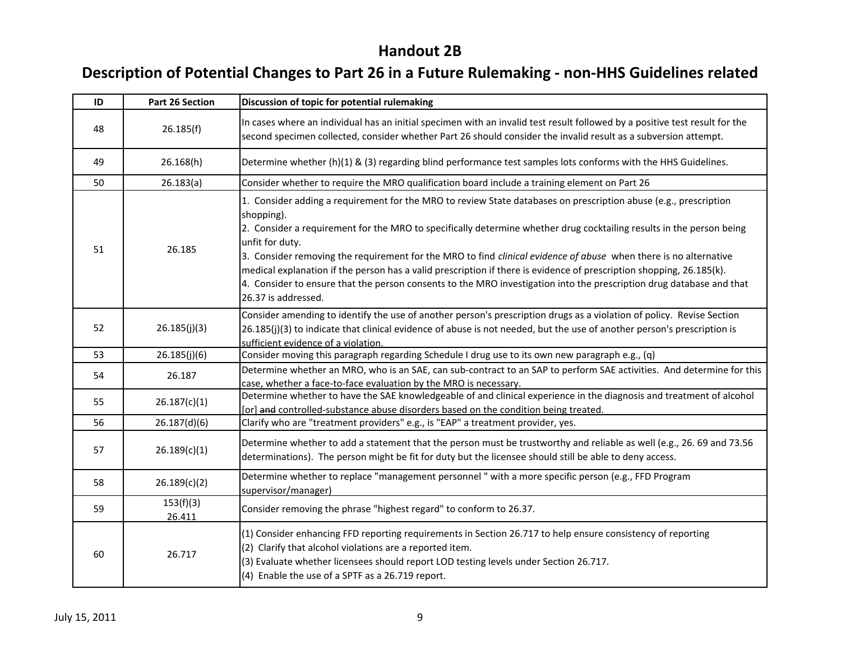| ID | Part 26 Section     | Discussion of topic for potential rulemaking                                                                                                                                                                                                                                                                                                                                                                                                                                                                                                                                                                                                                         |
|----|---------------------|----------------------------------------------------------------------------------------------------------------------------------------------------------------------------------------------------------------------------------------------------------------------------------------------------------------------------------------------------------------------------------------------------------------------------------------------------------------------------------------------------------------------------------------------------------------------------------------------------------------------------------------------------------------------|
| 48 | 26.185(f)           | In cases where an individual has an initial specimen with an invalid test result followed by a positive test result for the<br>second specimen collected, consider whether Part 26 should consider the invalid result as a subversion attempt.                                                                                                                                                                                                                                                                                                                                                                                                                       |
| 49 | 26.168(h)           | Determine whether (h)(1) & (3) regarding blind performance test samples lots conforms with the HHS Guidelines.                                                                                                                                                                                                                                                                                                                                                                                                                                                                                                                                                       |
| 50 | 26.183(a)           | Consider whether to require the MRO qualification board include a training element on Part 26                                                                                                                                                                                                                                                                                                                                                                                                                                                                                                                                                                        |
| 51 | 26.185              | 1. Consider adding a requirement for the MRO to review State databases on prescription abuse (e.g., prescription<br>shopping).<br>2. Consider a requirement for the MRO to specifically determine whether drug cocktailing results in the person being<br>unfit for duty.<br>3. Consider removing the requirement for the MRO to find clinical evidence of abuse when there is no alternative<br>medical explanation if the person has a valid prescription if there is evidence of prescription shopping, 26.185(k).<br>4. Consider to ensure that the person consents to the MRO investigation into the prescription drug database and that<br>26.37 is addressed. |
| 52 | 26.185(j)(3)        | Consider amending to identify the use of another person's prescription drugs as a violation of policy. Revise Section<br>26.185(j)(3) to indicate that clinical evidence of abuse is not needed, but the use of another person's prescription is<br>sufficient evidence of a violation.                                                                                                                                                                                                                                                                                                                                                                              |
| 53 | 26.185(j)(6)        | Consider moving this paragraph regarding Schedule I drug use to its own new paragraph e.g., (q)                                                                                                                                                                                                                                                                                                                                                                                                                                                                                                                                                                      |
| 54 | 26.187              | Determine whether an MRO, who is an SAE, can sub-contract to an SAP to perform SAE activities. And determine for this<br>case, whether a face-to-face evaluation by the MRO is necessary.                                                                                                                                                                                                                                                                                                                                                                                                                                                                            |
| 55 | 26.187(c)(1)        | Determine whether to have the SAE knowledgeable of and clinical experience in the diagnosis and treatment of alcohol<br>[or] and controlled-substance abuse disorders based on the condition being treated.                                                                                                                                                                                                                                                                                                                                                                                                                                                          |
| 56 | 26.187(d)(6)        | Clarify who are "treatment providers" e.g., is "EAP" a treatment provider, yes.                                                                                                                                                                                                                                                                                                                                                                                                                                                                                                                                                                                      |
| 57 | 26.189(c)(1)        | Determine whether to add a statement that the person must be trustworthy and reliable as well (e.g., 26. 69 and 73.56<br>determinations). The person might be fit for duty but the licensee should still be able to deny access.                                                                                                                                                                                                                                                                                                                                                                                                                                     |
| 58 | 26.189(c)(2)        | Determine whether to replace "management personnel" with a more specific person (e.g., FFD Program<br>supervisor/manager)                                                                                                                                                                                                                                                                                                                                                                                                                                                                                                                                            |
| 59 | 153(f)(3)<br>26.411 | Consider removing the phrase "highest regard" to conform to 26.37.                                                                                                                                                                                                                                                                                                                                                                                                                                                                                                                                                                                                   |
| 60 | 26.717              | (1) Consider enhancing FFD reporting requirements in Section 26.717 to help ensure consistency of reporting<br>(2) Clarify that alcohol violations are a reported item.<br>(3) Evaluate whether licensees should report LOD testing levels under Section 26.717.<br>(4) Enable the use of a SPTF as a 26.719 report.                                                                                                                                                                                                                                                                                                                                                 |